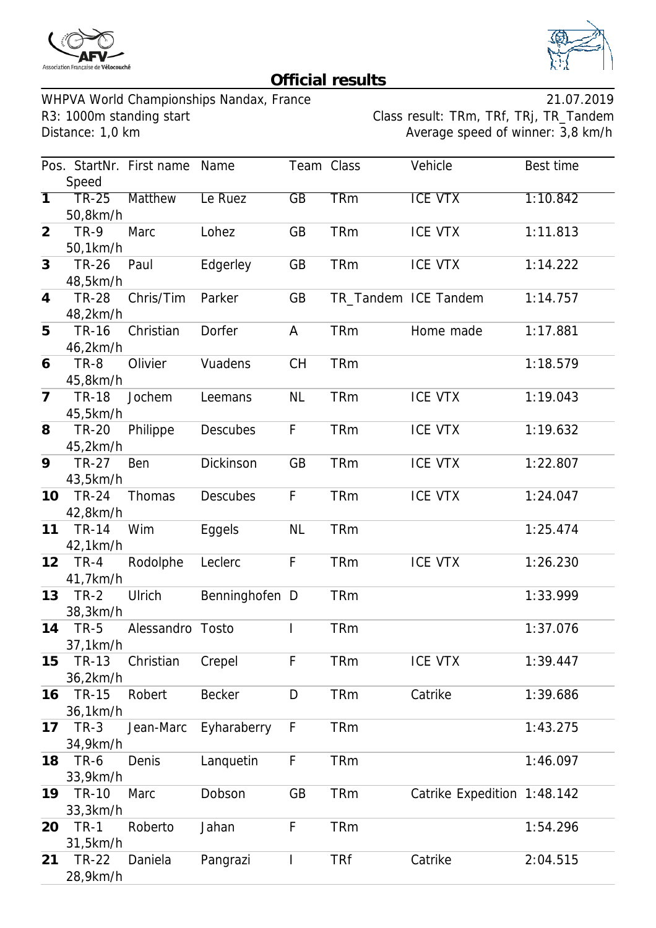



## **Official results**

WHPVA World Championships Nandax, France<br>R3: 1000m standing start Class result: TRm, TRf, TRj, TR\_Tandem R3: 1000m standing start Class result: TRm, TRf, TRj, TR\_Tandem<br>Distance: 1,0 km<br>Average speed of winner: 3,8 km/h

Average speed of winner: 3,8 km/h

|                |              | Pos. StartNr. First name | Name            | Team Class      |            | Vehicle                     | Best time |
|----------------|--------------|--------------------------|-----------------|-----------------|------------|-----------------------------|-----------|
|                | Speed        |                          |                 |                 |            |                             |           |
| 7              | <b>TR-25</b> | <b>Matthew</b>           | Le Ruez         | $\overline{GB}$ | <b>TRm</b> | <b>ICE VTX</b>              | 1:10.842  |
|                | 50,8km/h     |                          |                 |                 |            |                             |           |
| $\overline{2}$ | <b>TR-9</b>  | Marc                     | Lohez           | GB              | <b>TRm</b> | <b>ICE VTX</b>              | 1:11.813  |
|                | 50,1km/h     |                          |                 |                 |            |                             |           |
| 3              | <b>TR-26</b> | Paul                     | Edgerley        | GB              | <b>TRm</b> | <b>ICE VTX</b>              | 1:14.222  |
|                | 48,5km/h     |                          |                 |                 |            |                             |           |
| $\overline{4}$ | <b>TR-28</b> | Chris/Tim                | Parker          | GB              |            | TR_Tandem ICE Tandem        | 1:14.757  |
|                | 48,2km/h     |                          |                 |                 |            |                             |           |
| 5              | <b>TR-16</b> | Christian                | Dorfer          | A               | <b>TRm</b> | Home made                   | 1:17.881  |
|                | 46,2km/h     |                          |                 |                 |            |                             |           |
| 6              | <b>TR-8</b>  | Olivier                  | Vuadens         | <b>CH</b>       | <b>TRm</b> |                             | 1:18.579  |
|                | 45,8km/h     |                          |                 |                 |            |                             |           |
| $\overline{7}$ | <b>TR-18</b> | Jochem                   | Leemans         | <b>NL</b>       | <b>TRm</b> | <b>ICE VTX</b>              | 1:19.043  |
|                | 45,5km/h     |                          |                 |                 |            |                             |           |
| 8              | <b>TR-20</b> | Philippe                 | <b>Descubes</b> | F               | <b>TRm</b> | <b>ICE VTX</b>              | 1:19.632  |
|                | 45,2km/h     |                          |                 |                 |            |                             |           |
| 9              | <b>TR-27</b> | Ben                      | Dickinson       | GB              | <b>TRm</b> | <b>ICE VTX</b>              | 1:22.807  |
|                | 43,5km/h     |                          |                 |                 |            |                             |           |
| 10             | <b>TR-24</b> | Thomas                   | <b>Descubes</b> | F               | <b>TRm</b> | <b>ICE VTX</b>              | 1:24.047  |
|                | 42,8km/h     |                          |                 |                 |            |                             |           |
| 11             | <b>TR-14</b> | Wim                      | Eggels          | <b>NL</b>       | <b>TRm</b> |                             | 1:25.474  |
|                | 42,1km/h     |                          |                 |                 |            |                             |           |
| 12             | $TR-4$       | Rodolphe                 | Leclerc         | F               | <b>TRm</b> | <b>ICE VTX</b>              | 1:26.230  |
|                | 41,7km/h     |                          |                 |                 |            |                             |           |
| 13             | $TR-2$       | Ulrich                   | Benninghofen D  |                 | <b>TRm</b> |                             | 1:33.999  |
|                | 38,3km/h     |                          |                 |                 |            |                             |           |
| 14             | <b>TR-5</b>  | Alessandro Tosto         |                 |                 | <b>TRm</b> |                             | 1:37.076  |
|                | 37,1km/h     |                          |                 |                 |            |                             |           |
| 15             | <b>TR-13</b> | Christian                | Crepel          | F               | <b>TRm</b> | <b>ICE VTX</b>              | 1:39.447  |
|                | 36,2km/h     |                          |                 |                 |            |                             |           |
| 16             | <b>TR-15</b> | Robert                   | <b>Becker</b>   | D               | <b>TRm</b> | Catrike                     | 1:39.686  |
|                | 36,1km/h     |                          |                 |                 |            |                             |           |
| 17             | $TR-3$       | Jean-Marc                | Eyharaberry     | F               | <b>TRm</b> |                             | 1:43.275  |
|                | 34,9km/h     |                          |                 |                 |            |                             |           |
| 18             | TR-6         | Denis                    | Lanquetin       | F               | <b>TRm</b> |                             | 1:46.097  |
|                | 33,9km/h     |                          |                 |                 |            |                             |           |
| 19             | <b>TR-10</b> | Marc                     | Dobson          | GB              | <b>TRm</b> | Catrike Expedition 1:48.142 |           |
|                | 33,3km/h     |                          |                 |                 |            |                             |           |
| 20             | <b>TR-1</b>  | Roberto                  | Jahan           | F               | <b>TRm</b> |                             | 1:54.296  |
|                | 31,5km/h     |                          |                 |                 |            |                             |           |
| 21             | TR-22        | Daniela                  | Pangrazi        |                 | <b>TRf</b> | Catrike                     | 2:04.515  |
|                | 28,9km/h     |                          |                 |                 |            |                             |           |